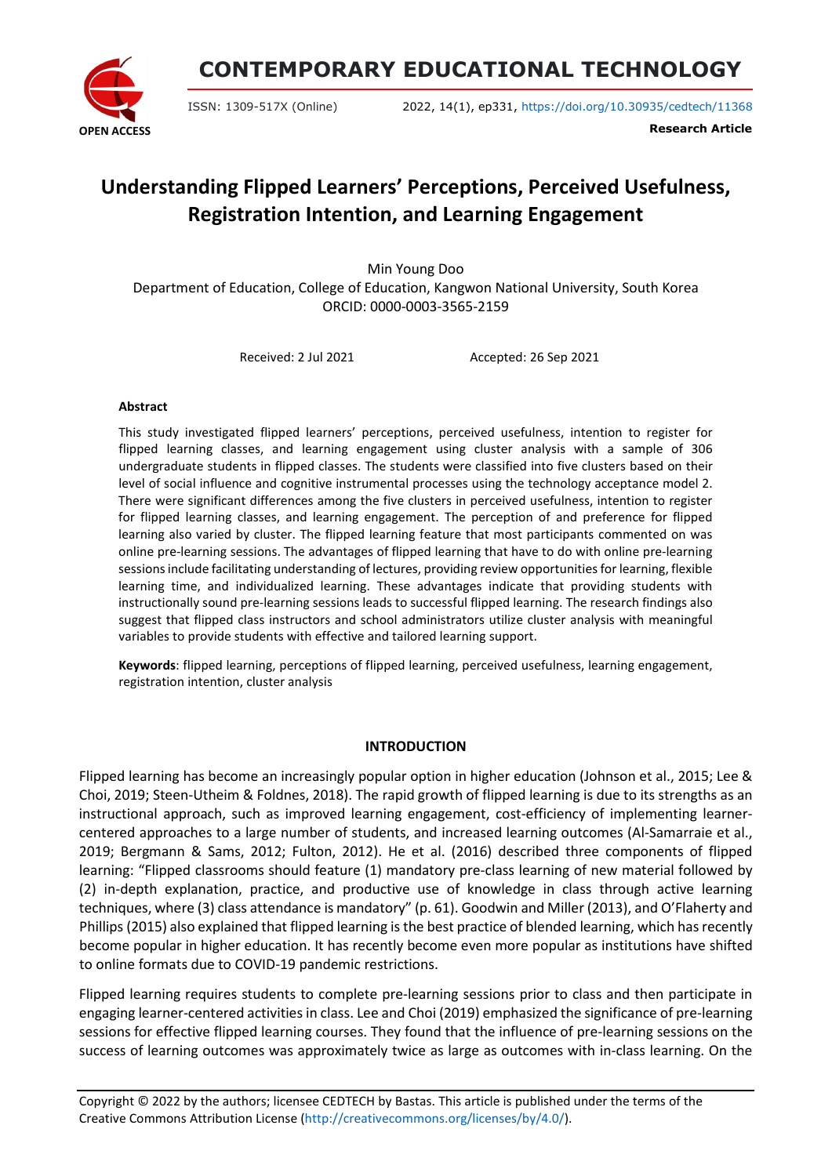

**CONTEMPORARY EDUCATIONAL TECHNOLOGY**

ISSN: 1309-517X (Online) 2022, 14(1), ep331, <https://doi.org/10.30935/cedtech/11368>

**Research Article**

# **Understanding Flipped Learners' Perceptions, Perceived Usefulness, Registration Intention, and Learning Engagement**

Min Young Doo Department of Education, College of Education, Kangwon National University, South Korea ORCID: 0000-0003-3565-2159

Received: 2 Jul 2021 Accepted: 26 Sep 2021

### **Abstract**

This study investigated flipped learners' perceptions, perceived usefulness, intention to register for flipped learning classes, and learning engagement using cluster analysis with a sample of 306 undergraduate students in flipped classes. The students were classified into five clusters based on their level of social influence and cognitive instrumental processes using the technology acceptance model 2. There were significant differences among the five clusters in perceived usefulness, intention to register for flipped learning classes, and learning engagement. The perception of and preference for flipped learning also varied by cluster. The flipped learning feature that most participants commented on was online pre-learning sessions. The advantages of flipped learning that have to do with online pre-learning sessions include facilitating understanding of lectures, providing review opportunities for learning, flexible learning time, and individualized learning. These advantages indicate that providing students with instructionally sound pre-learning sessions leads to successful flipped learning. The research findings also suggest that flipped class instructors and school administrators utilize cluster analysis with meaningful variables to provide students with effective and tailored learning support.

**Keywords**: flipped learning, perceptions of flipped learning, perceived usefulness, learning engagement, registration intention, cluster analysis

#### **INTRODUCTION**

Flipped learning has become an increasingly popular option in higher education (Johnson et al., 2015; Lee & Choi, 2019; Steen-Utheim & Foldnes, 2018). The rapid growth of flipped learning is due to its strengths as an instructional approach, such as improved learning engagement, cost-efficiency of implementing learnercentered approaches to a large number of students, and increased learning outcomes (Al-Samarraie et al., 2019; Bergmann & Sams, 2012; Fulton, 2012). He et al. (2016) described three components of flipped learning: "Flipped classrooms should feature (1) mandatory pre-class learning of new material followed by (2) in-depth explanation, practice, and productive use of knowledge in class through active learning techniques, where (3) class attendance is mandatory" (p. 61). Goodwin and Miller (2013), and O'Flaherty and Phillips (2015) also explained that flipped learning is the best practice of blended learning, which has recently become popular in higher education. It has recently become even more popular as institutions have shifted to online formats due to COVID-19 pandemic restrictions.

Flipped learning requires students to complete pre-learning sessions prior to class and then participate in engaging learner-centered activities in class. Lee and Choi (2019) emphasized the significance of pre-learning sessions for effective flipped learning courses. They found that the influence of pre-learning sessions on the success of learning outcomes was approximately twice as large as outcomes with in-class learning. On the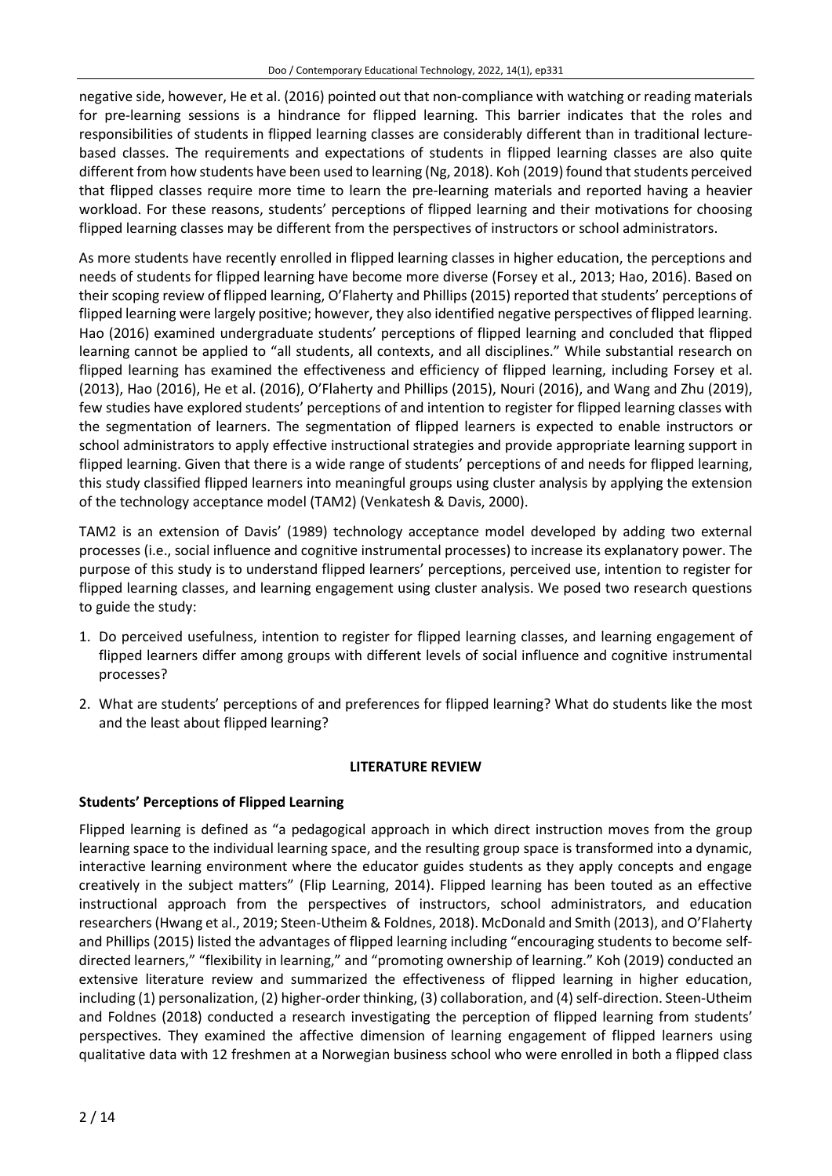negative side, however, He et al. (2016) pointed out that non-compliance with watching or reading materials for pre-learning sessions is a hindrance for flipped learning. This barrier indicates that the roles and responsibilities of students in flipped learning classes are considerably different than in traditional lecturebased classes. The requirements and expectations of students in flipped learning classes are also quite different from how students have been used to learning (Ng, 2018). Koh (2019) found that students perceived that flipped classes require more time to learn the pre-learning materials and reported having a heavier workload. For these reasons, students' perceptions of flipped learning and their motivations for choosing flipped learning classes may be different from the perspectives of instructors or school administrators.

As more students have recently enrolled in flipped learning classes in higher education, the perceptions and needs of students for flipped learning have become more diverse (Forsey et al., 2013; Hao, 2016). Based on their scoping review of flipped learning, O'Flaherty and Phillips (2015) reported that students' perceptions of flipped learning were largely positive; however, they also identified negative perspectives of flipped learning. Hao (2016) examined undergraduate students' perceptions of flipped learning and concluded that flipped learning cannot be applied to "all students, all contexts, and all disciplines." While substantial research on flipped learning has examined the effectiveness and efficiency of flipped learning, including Forsey et al. (2013), Hao (2016), He et al. (2016), O'Flaherty and Phillips (2015), Nouri (2016), and Wang and Zhu (2019), few studies have explored students' perceptions of and intention to register for flipped learning classes with the segmentation of learners. The segmentation of flipped learners is expected to enable instructors or school administrators to apply effective instructional strategies and provide appropriate learning support in flipped learning. Given that there is a wide range of students' perceptions of and needs for flipped learning, this study classified flipped learners into meaningful groups using cluster analysis by applying the extension of the technology acceptance model (TAM2) (Venkatesh & Davis, 2000).

TAM2 is an extension of Davis' (1989) technology acceptance model developed by adding two external processes (i.e., social influence and cognitive instrumental processes) to increase its explanatory power. The purpose of this study is to understand flipped learners' perceptions, perceived use, intention to register for flipped learning classes, and learning engagement using cluster analysis. We posed two research questions to guide the study:

- 1. Do perceived usefulness, intention to register for flipped learning classes, and learning engagement of flipped learners differ among groups with different levels of social influence and cognitive instrumental processes?
- 2. What are students' perceptions of and preferences for flipped learning? What do students like the most and the least about flipped learning?

## **LITERATURE REVIEW**

## **Students' Perceptions of Flipped Learning**

Flipped learning is defined as "a pedagogical approach in which direct instruction moves from the group learning space to the individual learning space, and the resulting group space is transformed into a dynamic, interactive learning environment where the educator guides students as they apply concepts and engage creatively in the subject matters" (Flip Learning, 2014). Flipped learning has been touted as an effective instructional approach from the perspectives of instructors, school administrators, and education researchers(Hwang et al., 2019; Steen-Utheim & Foldnes, 2018). McDonald and Smith (2013), and O'Flaherty and Phillips (2015) listed the advantages of flipped learning including "encouraging students to become selfdirected learners," "flexibility in learning," and "promoting ownership of learning." Koh (2019) conducted an extensive literature review and summarized the effectiveness of flipped learning in higher education, including (1) personalization, (2) higher-order thinking, (3) collaboration, and (4) self-direction. Steen-Utheim and Foldnes (2018) conducted a research investigating the perception of flipped learning from students' perspectives. They examined the affective dimension of learning engagement of flipped learners using qualitative data with 12 freshmen at a Norwegian business school who were enrolled in both a flipped class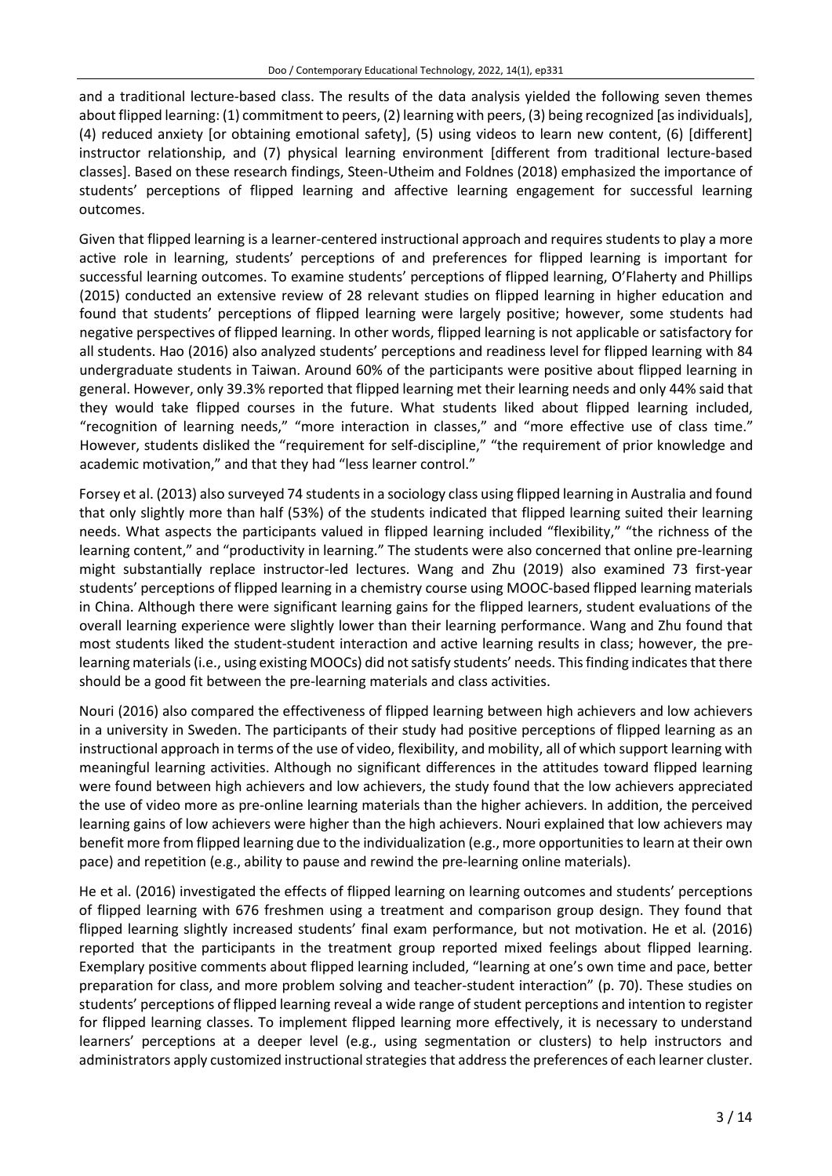and a traditional lecture-based class. The results of the data analysis yielded the following seven themes about flipped learning: (1) commitment to peers, (2) learning with peers, (3) being recognized [asindividuals], (4) reduced anxiety [or obtaining emotional safety], (5) using videos to learn new content, (6) [different] instructor relationship, and (7) physical learning environment [different from traditional lecture-based classes]. Based on these research findings, Steen-Utheim and Foldnes (2018) emphasized the importance of students' perceptions of flipped learning and affective learning engagement for successful learning outcomes.

Given that flipped learning is a learner-centered instructional approach and requires students to play a more active role in learning, students' perceptions of and preferences for flipped learning is important for successful learning outcomes. To examine students' perceptions of flipped learning, O'Flaherty and Phillips (2015) conducted an extensive review of 28 relevant studies on flipped learning in higher education and found that students' perceptions of flipped learning were largely positive; however, some students had negative perspectives of flipped learning. In other words, flipped learning is not applicable or satisfactory for all students. Hao (2016) also analyzed students' perceptions and readiness level for flipped learning with 84 undergraduate students in Taiwan. Around 60% of the participants were positive about flipped learning in general. However, only 39.3% reported that flipped learning met their learning needs and only 44% said that they would take flipped courses in the future. What students liked about flipped learning included, "recognition of learning needs," "more interaction in classes," and "more effective use of class time." However, students disliked the "requirement for self-discipline," "the requirement of prior knowledge and academic motivation," and that they had "less learner control."

Forsey et al. (2013) also surveyed 74 studentsin a sociology class using flipped learning in Australia and found that only slightly more than half (53%) of the students indicated that flipped learning suited their learning needs. What aspects the participants valued in flipped learning included "flexibility," "the richness of the learning content," and "productivity in learning." The students were also concerned that online pre-learning might substantially replace instructor-led lectures. Wang and Zhu (2019) also examined 73 first-year students' perceptions of flipped learning in a chemistry course using MOOC-based flipped learning materials in China. Although there were significant learning gains for the flipped learners, student evaluations of the overall learning experience were slightly lower than their learning performance. Wang and Zhu found that most students liked the student-student interaction and active learning results in class; however, the prelearning materials (i.e., using existing MOOCs) did not satisfy students' needs. This finding indicates that there should be a good fit between the pre-learning materials and class activities.

Nouri (2016) also compared the effectiveness of flipped learning between high achievers and low achievers in a university in Sweden. The participants of their study had positive perceptions of flipped learning as an instructional approach in terms of the use of video, flexibility, and mobility, all of which support learning with meaningful learning activities. Although no significant differences in the attitudes toward flipped learning were found between high achievers and low achievers, the study found that the low achievers appreciated the use of video more as pre-online learning materials than the higher achievers. In addition, the perceived learning gains of low achievers were higher than the high achievers. Nouri explained that low achievers may benefit more from flipped learning due to the individualization (e.g., more opportunitiesto learn at their own pace) and repetition (e.g., ability to pause and rewind the pre-learning online materials).

He et al. (2016) investigated the effects of flipped learning on learning outcomes and students' perceptions of flipped learning with 676 freshmen using a treatment and comparison group design. They found that flipped learning slightly increased students' final exam performance, but not motivation. He et al*.* (2016) reported that the participants in the treatment group reported mixed feelings about flipped learning. Exemplary positive comments about flipped learning included, "learning at one's own time and pace, better preparation for class, and more problem solving and teacher-student interaction" (p. 70). These studies on students' perceptions of flipped learning reveal a wide range of student perceptions and intention to register for flipped learning classes. To implement flipped learning more effectively, it is necessary to understand learners' perceptions at a deeper level (e.g., using segmentation or clusters) to help instructors and administrators apply customized instructional strategies that address the preferences of each learner cluster.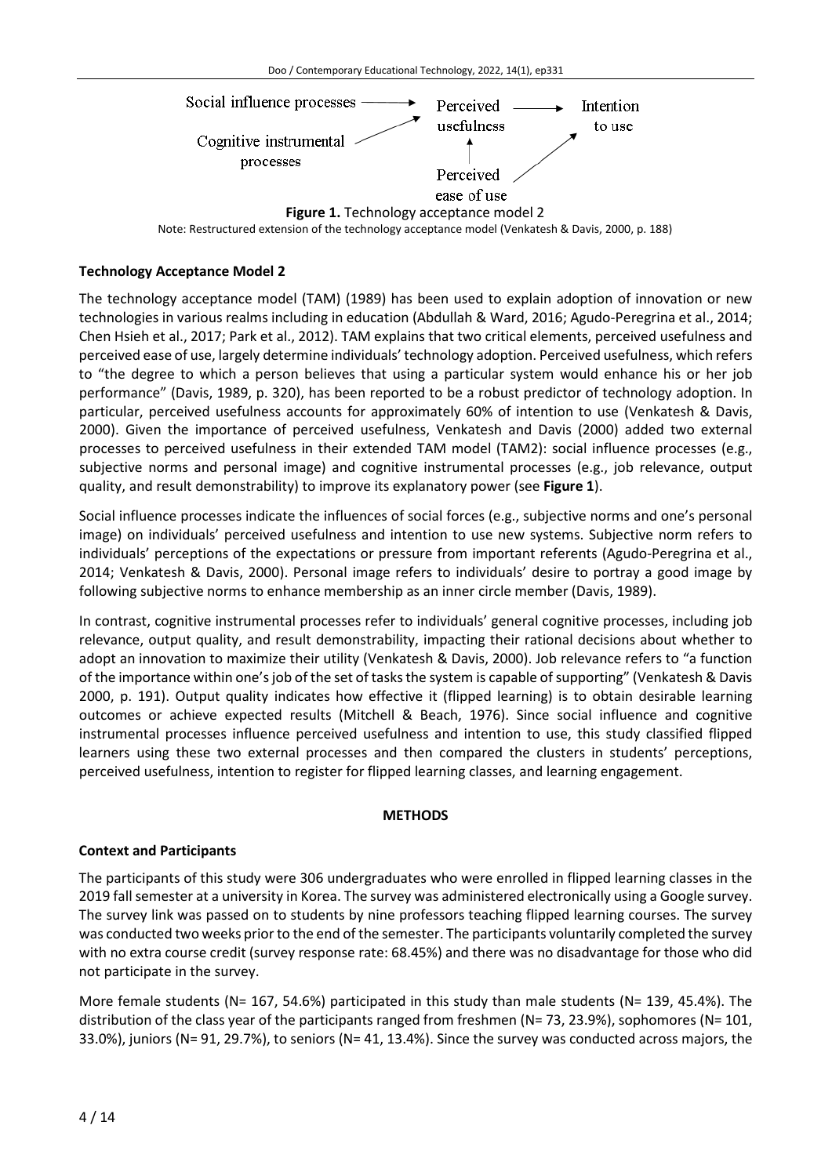

Note: Restructured extension of the technology acceptance model (Venkatesh & Davis, 2000, p. 188)

## **Technology Acceptance Model 2**

The technology acceptance model (TAM) (1989) has been used to explain adoption of innovation or new technologies in various realms including in education (Abdullah & Ward, 2016; Agudo-Peregrina et al., 2014; Chen Hsieh et al., 2017; Park et al., 2012). TAM explains that two critical elements, perceived usefulness and perceived ease of use, largely determine individuals' technology adoption. Perceived usefulness, which refers to "the degree to which a person believes that using a particular system would enhance his or her job performance" (Davis, 1989, p. 320), has been reported to be a robust predictor of technology adoption. In particular, perceived usefulness accounts for approximately 60% of intention to use (Venkatesh & Davis, 2000). Given the importance of perceived usefulness, Venkatesh and Davis (2000) added two external processes to perceived usefulness in their extended TAM model (TAM2): social influence processes (e.g., subjective norms and personal image) and cognitive instrumental processes (e.g., job relevance, output quality, and result demonstrability) to improve its explanatory power (see **Figure 1**).

Social influence processes indicate the influences of social forces (e.g., subjective norms and one's personal image) on individuals' perceived usefulness and intention to use new systems. Subjective norm refers to individuals' perceptions of the expectations or pressure from important referents (Agudo-Peregrina et al., 2014; Venkatesh & Davis, 2000). Personal image refers to individuals' desire to portray a good image by following subjective norms to enhance membership as an inner circle member (Davis, 1989).

In contrast, cognitive instrumental processes refer to individuals' general cognitive processes, including job relevance, output quality, and result demonstrability, impacting their rational decisions about whether to adopt an innovation to maximize their utility (Venkatesh & Davis, 2000). Job relevance refers to "a function of the importance within one's job of the set of tasks the system is capable of supporting" (Venkatesh & Davis 2000, p. 191). Output quality indicates how effective it (flipped learning) is to obtain desirable learning outcomes or achieve expected results (Mitchell & Beach, 1976). Since social influence and cognitive instrumental processes influence perceived usefulness and intention to use, this study classified flipped learners using these two external processes and then compared the clusters in students' perceptions, perceived usefulness, intention to register for flipped learning classes, and learning engagement.

## **METHODS**

## **Context and Participants**

The participants of this study were 306 undergraduates who were enrolled in flipped learning classes in the 2019 fall semester at a university in Korea. The survey was administered electronically using a Google survey. The survey link was passed on to students by nine professors teaching flipped learning courses. The survey was conducted two weeks prior to the end of the semester. The participants voluntarily completed the survey with no extra course credit (survey response rate: 68.45%) and there was no disadvantage for those who did not participate in the survey.

More female students (N= 167, 54.6%) participated in this study than male students (N= 139, 45.4%). The distribution of the class year of the participants ranged from freshmen (N= 73, 23.9%), sophomores (N= 101, 33.0%), juniors (N= 91, 29.7%), to seniors (N= 41, 13.4%). Since the survey was conducted across majors, the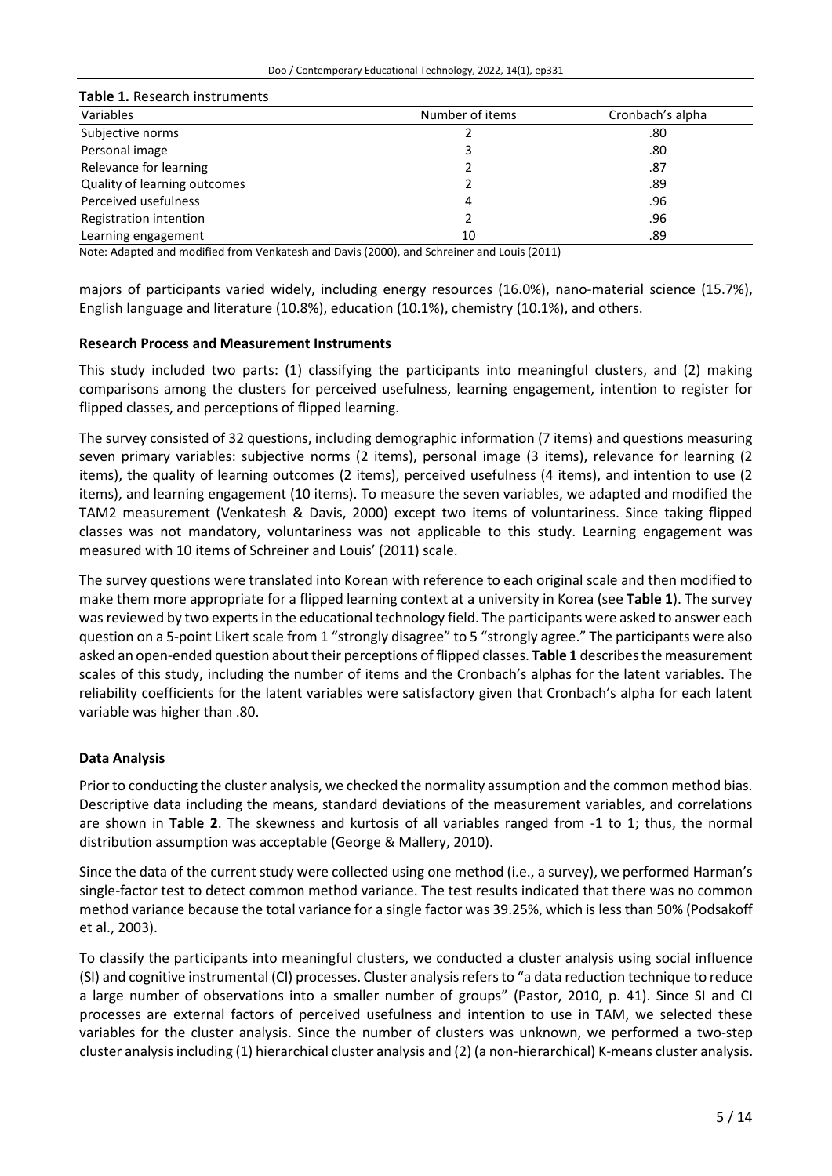| Table 1. Research instruments |                 |                  |  |  |  |  |  |  |  |
|-------------------------------|-----------------|------------------|--|--|--|--|--|--|--|
| Variables                     | Number of items | Cronbach's alpha |  |  |  |  |  |  |  |
| Subjective norms              |                 | .80              |  |  |  |  |  |  |  |
| Personal image                |                 | .80              |  |  |  |  |  |  |  |
| Relevance for learning        |                 | .87              |  |  |  |  |  |  |  |
| Quality of learning outcomes  |                 | .89              |  |  |  |  |  |  |  |
| Perceived usefulness          | 4               | .96              |  |  |  |  |  |  |  |
| Registration intention        |                 | .96              |  |  |  |  |  |  |  |
| Learning engagement           | 10              | .89              |  |  |  |  |  |  |  |

Note: Adapted and modified from Venkatesh and Davis (2000), and Schreiner and Louis (2011)

majors of participants varied widely, including energy resources (16.0%), nano-material science (15.7%), English language and literature (10.8%), education (10.1%), chemistry (10.1%), and others.

## **Research Process and Measurement Instruments**

This study included two parts: (1) classifying the participants into meaningful clusters, and (2) making comparisons among the clusters for perceived usefulness, learning engagement, intention to register for flipped classes, and perceptions of flipped learning.

The survey consisted of 32 questions, including demographic information (7 items) and questions measuring seven primary variables: subjective norms (2 items), personal image (3 items), relevance for learning (2 items), the quality of learning outcomes (2 items), perceived usefulness (4 items), and intention to use (2 items), and learning engagement (10 items). To measure the seven variables, we adapted and modified the TAM2 measurement (Venkatesh & Davis, 2000) except two items of voluntariness. Since taking flipped classes was not mandatory, voluntariness was not applicable to this study. Learning engagement was measured with 10 items of Schreiner and Louis' (2011) scale.

The survey questions were translated into Korean with reference to each original scale and then modified to make them more appropriate for a flipped learning context at a university in Korea (see **Table 1**). The survey was reviewed by two experts in the educational technology field. The participants were asked to answer each question on a 5-point Likert scale from 1 "strongly disagree" to 5 "strongly agree." The participants were also asked an open-ended question abouttheir perceptions of flipped classes. **Table 1** describesthe measurement scales of this study, including the number of items and the Cronbach's alphas for the latent variables. The reliability coefficients for the latent variables were satisfactory given that Cronbach's alpha for each latent variable was higher than .80.

## **Data Analysis**

Priorto conducting the cluster analysis, we checked the normality assumption and the common method bias. Descriptive data including the means, standard deviations of the measurement variables, and correlations are shown in **Table 2**. The skewness and kurtosis of all variables ranged from -1 to 1; thus, the normal distribution assumption was acceptable (George & Mallery, 2010).

Since the data of the current study were collected using one method (i.e., a survey), we performed Harman's single-factor test to detect common method variance. The test results indicated that there was no common method variance because the total variance for a single factor was 39.25%, which is less than 50% (Podsakoff et al., 2003).

To classify the participants into meaningful clusters, we conducted a cluster analysis using social influence (SI) and cognitive instrumental (CI) processes. Cluster analysisrefersto "a data reduction technique to reduce a large number of observations into a smaller number of groups" (Pastor, 2010, p. 41). Since SI and CI processes are external factors of perceived usefulness and intention to use in TAM, we selected these variables for the cluster analysis. Since the number of clusters was unknown, we performed a two-step cluster analysisincluding (1) hierarchical cluster analysis and (2) (a non-hierarchical) K-means cluster analysis.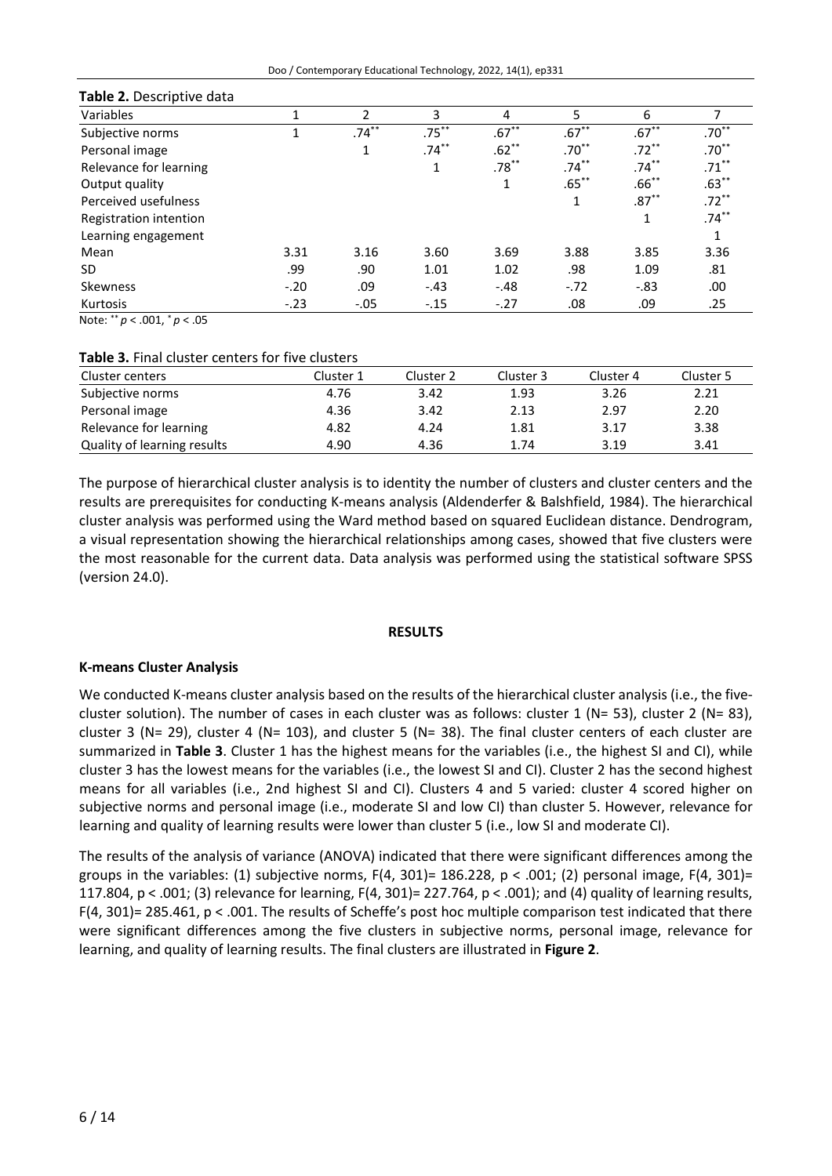| Doo / Contemporary Educational Technology, 2022, 14(1), ep331 |  |  |  |  |  |  |  |
|---------------------------------------------------------------|--|--|--|--|--|--|--|
|---------------------------------------------------------------|--|--|--|--|--|--|--|

| <b>Table 2.</b> Descriptive data |        |          |          |          |          |          |          |
|----------------------------------|--------|----------|----------|----------|----------|----------|----------|
| Variables                        |        | 2        | 3        | 4        | 5        | 6        |          |
| Subjective norms                 |        | $.74***$ | $.75***$ | $.67***$ | $.67***$ | $.67***$ | $.70**$  |
| Personal image                   |        | 1        | $.74***$ | $.62***$ | $.70***$ | $.72***$ | $.70***$ |
| Relevance for learning           |        |          | 1        | $.78***$ | $.74***$ | $.74***$ | $.71***$ |
| Output quality                   |        |          |          |          | $.65***$ | $.66***$ | $.63***$ |
| Perceived usefulness             |        |          |          |          | 1        | $.87***$ | $.72***$ |
| Registration intention           |        |          |          |          |          | 1        | $.74***$ |
| Learning engagement              |        |          |          |          |          |          |          |
| Mean                             | 3.31   | 3.16     | 3.60     | 3.69     | 3.88     | 3.85     | 3.36     |
| SD.                              | .99    | .90      | 1.01     | 1.02     | .98      | 1.09     | .81      |
| Skewness                         | $-.20$ | .09      | $-.43$   | $-.48$   | $-.72$   | $-.83$   | .00      |
| Kurtosis                         | $-.23$ | $-.05$   | $-.15$   | $-.27$   | .08      | .09      | .25      |
| $M - 1 - 1 + 1 = 0$              |        |          |          |          |          |          |          |

## **Table 2.** Descriptive data

Note: \*\* *p* < .001, \* *p* < .05

### **Table 3.** Final cluster centers for five clusters

| Cluster centers             | Cluster 1 | Cluster 2 | Cluster 3 | Cluster 4 | Cluster 5 |
|-----------------------------|-----------|-----------|-----------|-----------|-----------|
| Subjective norms            | 4.76      | 3.42      | 1.93      | 3.26      | 2.21      |
| Personal image              | 4.36      | 3.42      | 2.13      | 2.97      | 2.20      |
| Relevance for learning      | 4.82      | 4.24      | 1.81      | 3.17      | 3.38      |
| Quality of learning results | 4.90      | 4.36      | 1.74      | 3.19      | 3.41      |

The purpose of hierarchical cluster analysis is to identity the number of clusters and cluster centers and the results are prerequisites for conducting K-means analysis (Aldenderfer & Balshfield, 1984). The hierarchical cluster analysis was performed using the Ward method based on squared Euclidean distance. Dendrogram, a visual representation showing the hierarchical relationships among cases, showed that five clusters were the most reasonable for the current data. Data analysis was performed using the statistical software SPSS (version 24.0).

## **RESULTS**

## **K-means Cluster Analysis**

We conducted K-means cluster analysis based on the results of the hierarchical cluster analysis (i.e., the fivecluster solution). The number of cases in each cluster was as follows: cluster 1 (N= 53), cluster 2 (N= 83), cluster 3 (N= 29), cluster 4 (N= 103), and cluster 5 (N= 38). The final cluster centers of each cluster are summarized in **Table 3**. Cluster 1 has the highest means for the variables (i.e., the highest SI and CI), while cluster 3 has the lowest means for the variables (i.e., the lowest SI and CI). Cluster 2 has the second highest means for all variables (i.e., 2nd highest SI and CI). Clusters 4 and 5 varied: cluster 4 scored higher on subjective norms and personal image (i.e., moderate SI and low CI) than cluster 5. However, relevance for learning and quality of learning results were lower than cluster 5 (i.e., low SI and moderate CI).

The results of the analysis of variance (ANOVA) indicated that there were significant differences among the groups in the variables: (1) subjective norms,  $F(4, 301) = 186.228$ ,  $p < .001$ ; (2) personal image,  $F(4, 301) =$ 117.804, p < .001; (3) relevance for learning, F(4, 301)= 227.764, p < .001); and (4) quality of learning results, F(4, 301)= 285.461, p < .001. The results of Scheffe's post hoc multiple comparison test indicated that there were significant differences among the five clusters in subjective norms, personal image, relevance for learning, and quality of learning results. The final clusters are illustrated in **Figure 2**.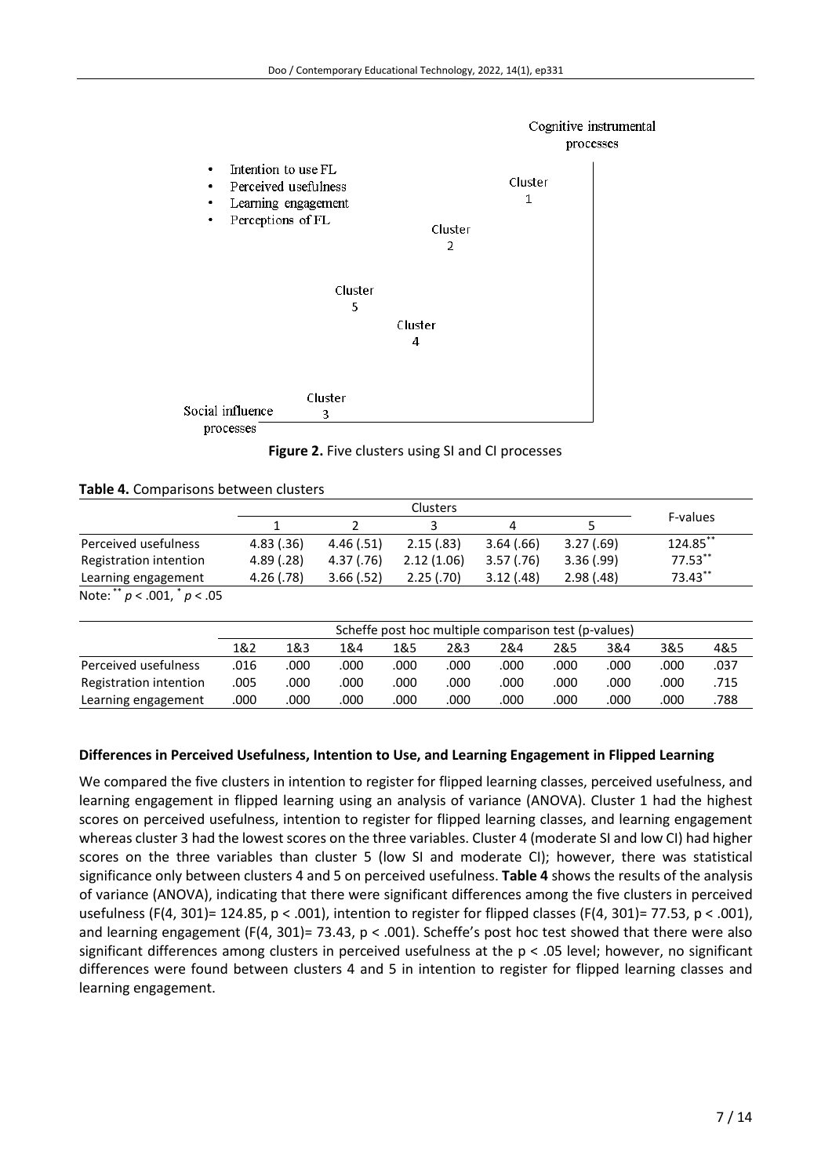

**Figure 2.** Five clusters using SI and CI processes

#### **Table 4.** Comparisons between clusters

|                                  |      | <b>Clusters</b>                                      |            |      |            |            |      |            | F-values   |      |
|----------------------------------|------|------------------------------------------------------|------------|------|------------|------------|------|------------|------------|------|
|                                  |      |                                                      | 2          |      | 3          | 4          |      | 5          |            |      |
| Perceived usefulness             |      | 4.83(.36)                                            | 4.46(.51)  |      | 2.15(.83)  | 3.64(.66)  |      | 3.27(.69)  | 124.85**   |      |
| Registration intention           |      | 4.89(0.28)                                           | 4.37(0.76) |      | 2.12(1.06) | 3.57(0.76) |      | 3.36(.99)  | $77.53***$ |      |
| Learning engagement              |      | 4.26(.78)                                            | 3.66(.52)  |      | 2.25(.70)  | 3.12(0.48) |      | 2.98(0.48) | 73.43**    |      |
| Note: ** $p < .001,$ * $p < .05$ |      |                                                      |            |      |            |            |      |            |            |      |
|                                  |      | Scheffe post hoc multiple comparison test (p-values) |            |      |            |            |      |            |            |      |
|                                  | 1&2  | 1&3                                                  | 1&4        | 1&5  | 2&3        | 2&4        | 2&5  | 3&4        | 3&5        | 4&5  |
| Perceived usefulness             | .016 | .000                                                 | .000       | .000 | .000       | .000       | .000 | .000       | .000       | .037 |
| Registration intention           | .005 | .000                                                 | .000       | .000 | .000       | .000       | .000 | .000       | .000       | .715 |
| Learning engagement              | .000 | .000                                                 | .000       | .000 | .000       | .000       | .000 | .000       | .000       | .788 |

## **Differences in Perceived Usefulness, Intention to Use, and Learning Engagement in Flipped Learning**

We compared the five clusters in intention to register for flipped learning classes, perceived usefulness, and learning engagement in flipped learning using an analysis of variance (ANOVA). Cluster 1 had the highest scores on perceived usefulness, intention to register for flipped learning classes, and learning engagement whereas cluster 3 had the lowest scores on the three variables. Cluster 4 (moderate SI and low CI) had higher scores on the three variables than cluster 5 (low SI and moderate CI); however, there was statistical significance only between clusters 4 and 5 on perceived usefulness. **Table 4** shows the results of the analysis of variance (ANOVA), indicating that there were significant differences among the five clusters in perceived usefulness (F(4, 301)= 124.85, p < .001), intention to register for flipped classes (F(4, 301)= 77.53, p < .001), and learning engagement (F(4, 301)= 73.43, p < .001). Scheffe's post hoc test showed that there were also significant differences among clusters in perceived usefulness at the p < .05 level; however, no significant differences were found between clusters 4 and 5 in intention to register for flipped learning classes and learning engagement.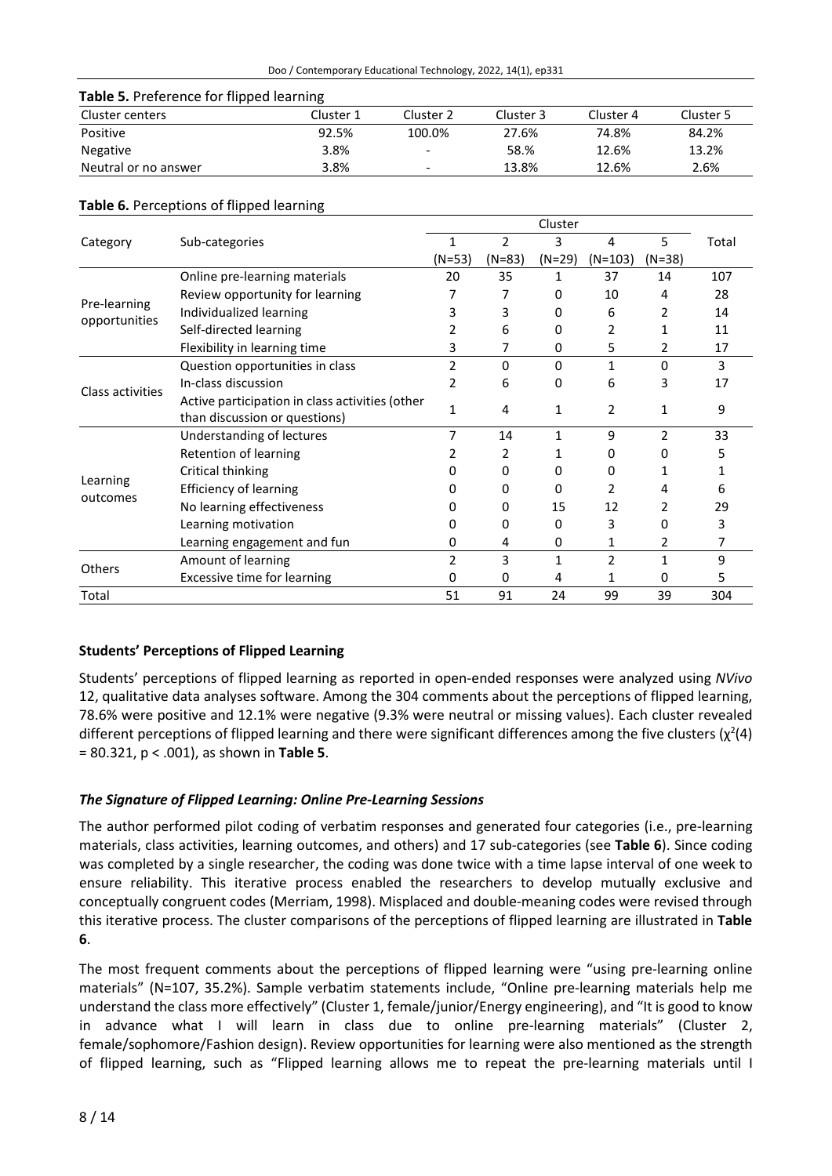| Table 5. Preference for flipped learning |           |                          |           |           |           |  |  |  |
|------------------------------------------|-----------|--------------------------|-----------|-----------|-----------|--|--|--|
| Cluster centers                          | Cluster 1 | Cluster 2                | Cluster 3 | Cluster 4 | Cluster 5 |  |  |  |
| Positive                                 | 92.5%     | 100.0%                   | 27.6%     | 74.8%     | 84.2%     |  |  |  |
| <b>Negative</b>                          | 3.8%      | $\overline{\phantom{a}}$ | 58.%      | 12.6%     | 13.2%     |  |  |  |
| Neutral or no answer                     | 3.8%      | -                        | 13.8%     | 12.6%     | 2.6%      |  |  |  |

### **Table 6.** Perceptions of flipped learning

| Category         | Sub-categories                                  | 1        | $\overline{2}$ | 3        | 4              | 5.       | Total |
|------------------|-------------------------------------------------|----------|----------------|----------|----------------|----------|-------|
|                  |                                                 | $(N=53)$ | $(N=83)$       | $(N=29)$ | (N=103)        | $(N=38)$ |       |
|                  | Online pre-learning materials                   | 20       | 35             | 1        | 37             | 14       | 107   |
|                  | Review opportunity for learning                 |          | 7              | 0        | 10             | 4        | 28    |
| Pre-learning     | Individualized learning                         | 3        | 3              | 0        | 6              | 2        | 14    |
| opportunities    | Self-directed learning                          | 2        | 6              | 0        | $\overline{2}$ | 1        | 11    |
|                  | Flexibility in learning time                    | 3        |                | 0        | 5              | 2        | 17    |
| Class activities | Question opportunities in class                 | 2        | 0              | 0        | $\mathbf{1}$   | $\Omega$ | 3     |
|                  | In-class discussion                             | 2        | 6              | 0        | 6              | 3        | 17    |
|                  | Active participation in class activities (other | 1        | 4              | 1        | 2              | 1        | 9     |
|                  | than discussion or questions)                   |          |                |          |                |          |       |
|                  | Understanding of lectures                       | 7        | 14             | 1        | 9              | 2        | 33    |
|                  | Retention of learning                           | 2        | 2              | 1        | 0              | 0        | 5     |
| Learning         | Critical thinking                               | O        | 0              | 0        | O.             |          |       |
| outcomes         | <b>Efficiency of learning</b>                   |          | 0              | 0        | 2              | 4        | 6     |
|                  | No learning effectiveness                       | 0        | 0              | 15       | 12             | 2        | 29    |
|                  | Learning motivation                             | O        | 0              | 0        | 3              | $\Omega$ | 3     |
|                  | Learning engagement and fun                     | 0        | 4              | 0        | 1              | 2        | 7     |
| <b>Others</b>    | Amount of learning                              | 2        | 3              | 1        | $\overline{2}$ | 1        | 9     |
|                  | Excessive time for learning                     | 0        | 0              | 4        |                | 0        | 5     |
| Total            |                                                 | 51       | 91             | 24       | 99             | 39       | 304   |

## **Students' Perceptions of Flipped Learning**

Students' perceptions of flipped learning as reported in open-ended responses were analyzed using *NVivo* 12, qualitative data analyses software. Among the 304 comments about the perceptions of flipped learning, 78.6% were positive and 12.1% were negative (9.3% were neutral or missing values). Each cluster revealed different perceptions of flipped learning and there were significant differences among the five clusters ( $\chi^2(4)$ = 80.321, p < .001), as shown in **Table 5**.

## *The Signature of Flipped Learning: Online Pre-Learning Sessions*

The author performed pilot coding of verbatim responses and generated four categories (i.e., pre-learning materials, class activities, learning outcomes, and others) and 17 sub-categories (see **Table 6**). Since coding was completed by a single researcher, the coding was done twice with a time lapse interval of one week to ensure reliability. This iterative process enabled the researchers to develop mutually exclusive and conceptually congruent codes (Merriam, 1998). Misplaced and double-meaning codes were revised through this iterative process. The cluster comparisons of the perceptions of flipped learning are illustrated in **Table 6**.

The most frequent comments about the perceptions of flipped learning were "using pre-learning online materials" (N=107, 35.2%). Sample verbatim statements include, "Online pre-learning materials help me understand the class more effectively" (Cluster 1, female/junior/Energy engineering), and "It is good to know in advance what I will learn in class due to online pre-learning materials" (Cluster 2, female/sophomore/Fashion design). Review opportunities for learning were also mentioned as the strength of flipped learning, such as "Flipped learning allows me to repeat the pre-learning materials until I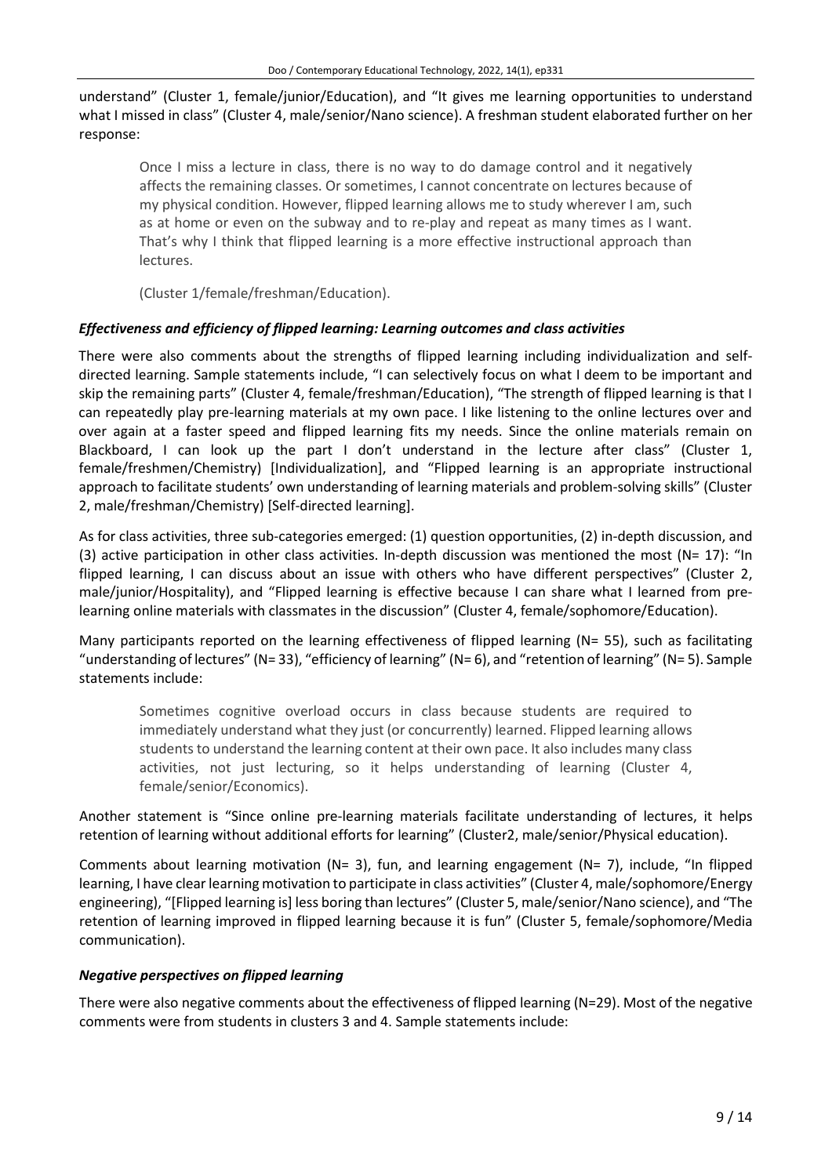understand" (Cluster 1, female/junior/Education), and "It gives me learning opportunities to understand what I missed in class" (Cluster 4, male/senior/Nano science). A freshman student elaborated further on her response:

Once I miss a lecture in class, there is no way to do damage control and it negatively affects the remaining classes. Or sometimes, I cannot concentrate on lectures because of my physical condition. However, flipped learning allows me to study wherever I am, such as at home or even on the subway and to re-play and repeat as many times as I want. That's why I think that flipped learning is a more effective instructional approach than lectures.

(Cluster 1/female/freshman/Education).

## *Effectiveness and efficiency of flipped learning: Learning outcomes and class activities*

There were also comments about the strengths of flipped learning including individualization and selfdirected learning. Sample statements include, "I can selectively focus on what I deem to be important and skip the remaining parts" (Cluster 4, female/freshman/Education), "The strength of flipped learning is that I can repeatedly play pre-learning materials at my own pace. I like listening to the online lectures over and over again at a faster speed and flipped learning fits my needs. Since the online materials remain on Blackboard, I can look up the part I don't understand in the lecture after class" (Cluster 1, female/freshmen/Chemistry) [Individualization], and "Flipped learning is an appropriate instructional approach to facilitate students' own understanding of learning materials and problem-solving skills" (Cluster 2, male/freshman/Chemistry) [Self-directed learning].

As for class activities, three sub-categories emerged: (1) question opportunities, (2) in-depth discussion, and (3) active participation in other class activities. In-depth discussion was mentioned the most ( $N= 17$ ): "In flipped learning, I can discuss about an issue with others who have different perspectives" (Cluster 2, male/junior/Hospitality), and "Flipped learning is effective because I can share what I learned from prelearning online materials with classmates in the discussion" (Cluster 4, female/sophomore/Education).

Many participants reported on the learning effectiveness of flipped learning (N= 55), such as facilitating "understanding of lectures" (N= 33), "efficiency of learning" (N= 6), and "retention of learning" (N= 5). Sample statements include:

Sometimes cognitive overload occurs in class because students are required to immediately understand what they just (or concurrently) learned. Flipped learning allows students to understand the learning content at their own pace. It also includes many class activities, not just lecturing, so it helps understanding of learning (Cluster 4, female/senior/Economics).

Another statement is "Since online pre-learning materials facilitate understanding of lectures, it helps retention of learning without additional efforts for learning" (Cluster2, male/senior/Physical education).

Comments about learning motivation ( $N= 3$ ), fun, and learning engagement ( $N= 7$ ), include, "In flipped learning, I have clear learning motivation to participate in class activities" (Cluster 4, male/sophomore/Energy engineering), "[Flipped learning is] less boring than lectures" (Cluster 5, male/senior/Nano science), and "The retention of learning improved in flipped learning because it is fun" (Cluster 5, female/sophomore/Media communication).

## *Negative perspectives on flipped learning*

There were also negative comments about the effectiveness of flipped learning (N=29). Most of the negative comments were from students in clusters 3 and 4. Sample statements include: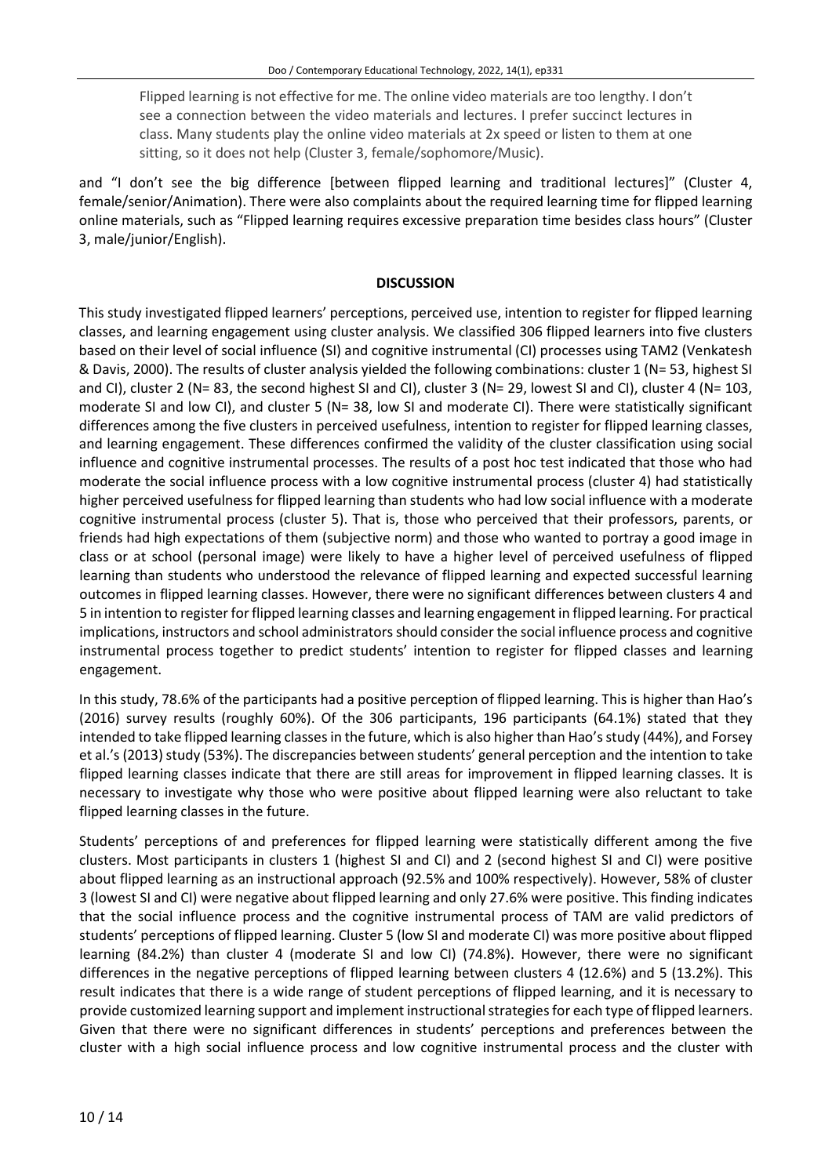Flipped learning is not effective for me. The online video materials are too lengthy. I don't see a connection between the video materials and lectures. I prefer succinct lectures in class. Many students play the online video materials at 2x speed or listen to them at one sitting, so it does not help (Cluster 3, female/sophomore/Music).

and "I don't see the big difference [between flipped learning and traditional lectures]" (Cluster 4, female/senior/Animation). There were also complaints about the required learning time for flipped learning online materials, such as "Flipped learning requires excessive preparation time besides class hours" (Cluster 3, male/junior/English).

#### **DISCUSSION**

This study investigated flipped learners' perceptions, perceived use, intention to register for flipped learning classes, and learning engagement using cluster analysis. We classified 306 flipped learners into five clusters based on their level of social influence (SI) and cognitive instrumental (CI) processes using TAM2 (Venkatesh & Davis, 2000). The results of cluster analysis yielded the following combinations: cluster 1 (N= 53, highest SI and CI), cluster 2 (N= 83, the second highest SI and CI), cluster 3 (N= 29, lowest SI and CI), cluster 4 (N= 103, moderate SI and low CI), and cluster 5 (N= 38, low SI and moderate CI). There were statistically significant differences among the five clusters in perceived usefulness, intention to register for flipped learning classes, and learning engagement. These differences confirmed the validity of the cluster classification using social influence and cognitive instrumental processes. The results of a post hoc test indicated that those who had moderate the social influence process with a low cognitive instrumental process (cluster 4) had statistically higher perceived usefulness for flipped learning than students who had low social influence with a moderate cognitive instrumental process (cluster 5). That is, those who perceived that their professors, parents, or friends had high expectations of them (subjective norm) and those who wanted to portray a good image in class or at school (personal image) were likely to have a higher level of perceived usefulness of flipped learning than students who understood the relevance of flipped learning and expected successful learning outcomes in flipped learning classes. However, there were no significant differences between clusters 4 and 5 in intention to registerforflipped learning classes and learning engagement in flipped learning. For practical implications, instructors and school administrators should consider the social influence process and cognitive instrumental process together to predict students' intention to register for flipped classes and learning engagement.

In this study, 78.6% of the participants had a positive perception of flipped learning. This is higher than Hao's (2016) survey results (roughly 60%). Of the 306 participants, 196 participants (64.1%) stated that they intended to take flipped learning classesin the future, which is also higher than Hao'sstudy (44%), and Forsey et al.'s (2013) study (53%). The discrepancies between students' general perception and the intention to take flipped learning classes indicate that there are still areas for improvement in flipped learning classes. It is necessary to investigate why those who were positive about flipped learning were also reluctant to take flipped learning classes in the future.

Students' perceptions of and preferences for flipped learning were statistically different among the five clusters. Most participants in clusters 1 (highest SI and CI) and 2 (second highest SI and CI) were positive about flipped learning as an instructional approach (92.5% and 100% respectively). However, 58% of cluster 3 (lowest SI and CI) were negative about flipped learning and only 27.6% were positive. This finding indicates that the social influence process and the cognitive instrumental process of TAM are valid predictors of students' perceptions of flipped learning. Cluster 5 (low SI and moderate CI) was more positive about flipped learning (84.2%) than cluster 4 (moderate SI and low CI) (74.8%). However, there were no significant differences in the negative perceptions of flipped learning between clusters 4 (12.6%) and 5 (13.2%). This result indicates that there is a wide range of student perceptions of flipped learning, and it is necessary to provide customized learning support and implement instructionalstrategiesfor each type of flipped learners. Given that there were no significant differences in students' perceptions and preferences between the cluster with a high social influence process and low cognitive instrumental process and the cluster with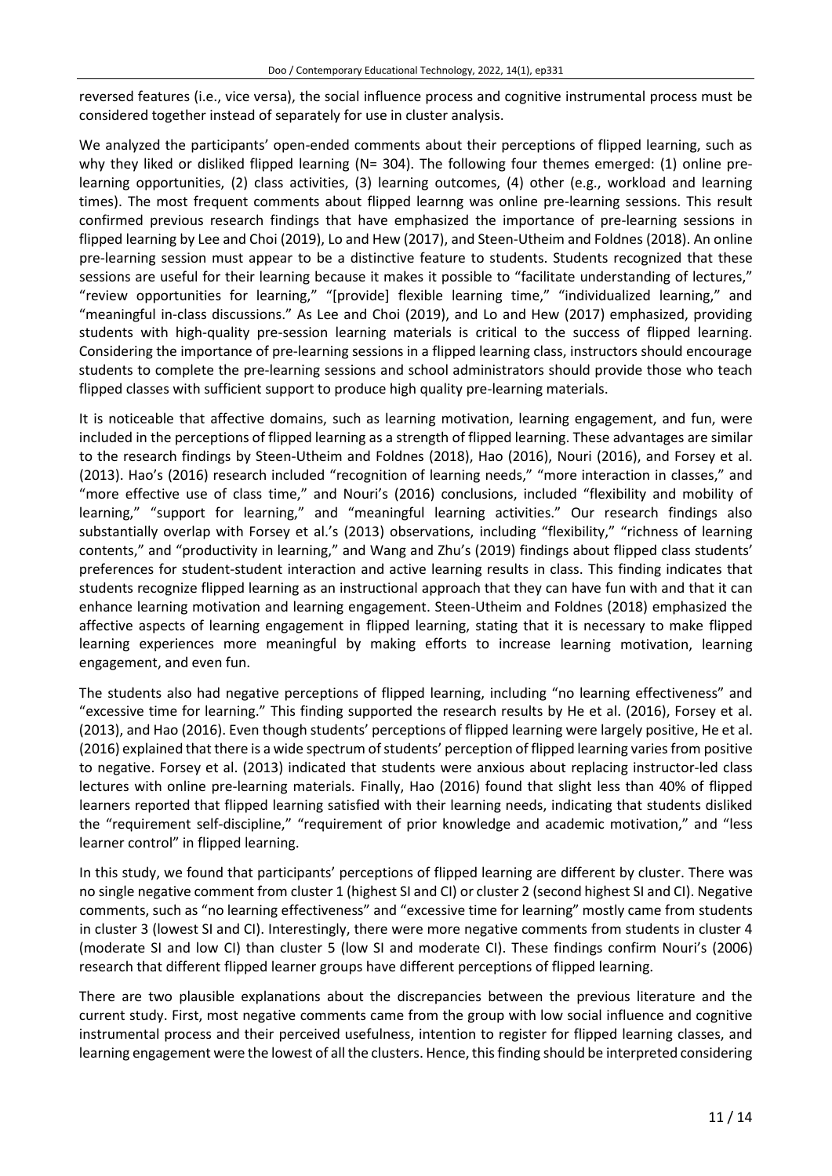reversed features (i.e., vice versa), the social influence process and cognitive instrumental process must be considered together instead of separately for use in cluster analysis.

We analyzed the participants' open-ended comments about their perceptions of flipped learning, such as why they liked or disliked flipped learning (N= 304). The following four themes emerged: (1) online prelearning opportunities, (2) class activities, (3) learning outcomes, (4) other (e.g., workload and learning times). The most frequent comments about flipped learnng was online pre-learning sessions. This result confirmed previous research findings that have emphasized the importance of pre-learning sessions in flipped learning by Lee and Choi (2019), Lo and Hew (2017), and Steen-Utheim and Foldnes (2018). An online pre-learning session must appear to be a distinctive feature to students. Students recognized that these sessions are useful for their learning because it makes it possible to "facilitate understanding of lectures," "review opportunities for learning," "[provide] flexible learning time," "individualized learning," and "meaningful in-class discussions." As Lee and Choi (2019), and Lo and Hew (2017) emphasized, providing students with high-quality pre-session learning materials is critical to the success of flipped learning. Considering the importance of pre-learning sessions in a flipped learning class, instructors should encourage students to complete the pre-learning sessions and school administrators should provide those who teach flipped classes with sufficient support to produce high quality pre-learning materials.

It is noticeable that affective domains, such as learning motivation, learning engagement, and fun, were included in the perceptions of flipped learning as a strength of flipped learning. These advantages are similar to the research findings by Steen-Utheim and Foldnes (2018), Hao (2016), Nouri (2016), and Forsey et al. (2013). Hao's (2016) research included "recognition of learning needs," "more interaction in classes," and "more effective use of class time," and Nouri's (2016) conclusions, included "flexibility and mobility of learning," "support for learning," and "meaningful learning activities." Our research findings also substantially overlap with Forsey et al.'s (2013) observations, including "flexibility," "richness of learning contents," and "productivity in learning," and Wang and Zhu's (2019) findings about flipped class students' preferences for student-student interaction and active learning results in class. This finding indicates that students recognize flipped learning as an instructional approach that they can have fun with and that it can enhance learning motivation and learning engagement. Steen-Utheim and Foldnes (2018) emphasized the affective aspects of learning engagement in flipped learning, stating that it is necessary to make flipped learning experiences more meaningful by making efforts to increase learning motivation, learning engagement, and even fun.

The students also had negative perceptions of flipped learning, including "no learning effectiveness" and "excessive time for learning." This finding supported the research results by He et al. (2016), Forsey et al. (2013), and Hao (2016). Even though students' perceptions of flipped learning were largely positive, He et al. (2016) explained that there is a wide spectrum of students' perception of flipped learning varies from positive to negative. Forsey et al. (2013) indicated that students were anxious about replacing instructor-led class lectures with online pre-learning materials. Finally, Hao (2016) found that slight less than 40% of flipped learners reported that flipped learning satisfied with their learning needs, indicating that students disliked the "requirement self-discipline," "requirement of prior knowledge and academic motivation," and "less learner control" in flipped learning.

In this study, we found that participants' perceptions of flipped learning are different by cluster. There was no single negative comment from cluster 1 (highest SI and CI) or cluster 2 (second highest SI and CI). Negative comments, such as "no learning effectiveness" and "excessive time for learning" mostly came from students in cluster 3 (lowest SI and CI). Interestingly, there were more negative comments from students in cluster 4 (moderate SI and low CI) than cluster 5 (low SI and moderate CI). These findings confirm Nouri's (2006) research that different flipped learner groups have different perceptions of flipped learning.

There are two plausible explanations about the discrepancies between the previous literature and the current study. First, most negative comments came from the group with low social influence and cognitive instrumental process and their perceived usefulness, intention to register for flipped learning classes, and learning engagement were the lowest of all the clusters. Hence, this finding should be interpreted considering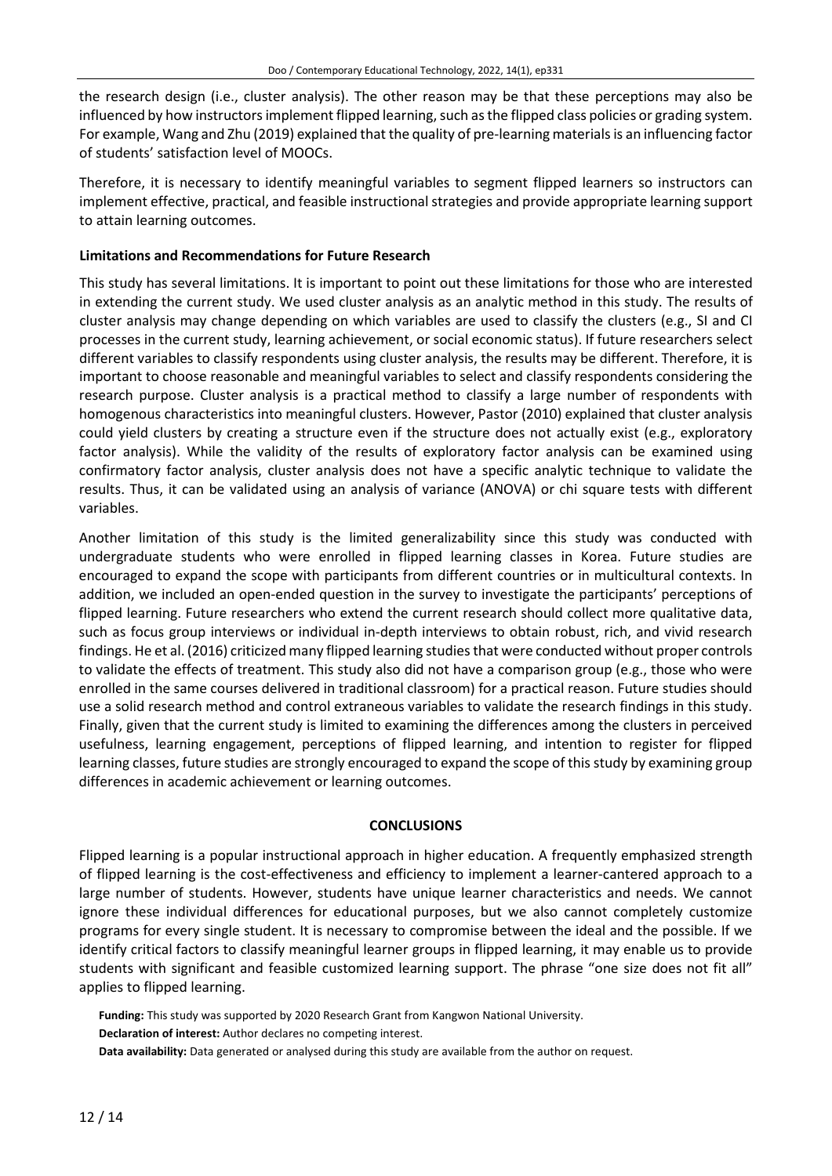the research design (i.e., cluster analysis). The other reason may be that these perceptions may also be influenced by how instructors implement flipped learning, such as the flipped class policies or grading system. For example, Wang and Zhu (2019) explained that the quality of pre-learning materialsis an influencing factor of students' satisfaction level of MOOCs.

Therefore, it is necessary to identify meaningful variables to segment flipped learners so instructors can implement effective, practical, and feasible instructional strategies and provide appropriate learning support to attain learning outcomes.

## **Limitations and Recommendations for Future Research**

This study has several limitations. It is important to point out these limitations for those who are interested in extending the current study. We used cluster analysis as an analytic method in this study. The results of cluster analysis may change depending on which variables are used to classify the clusters (e.g., SI and CI processes in the current study, learning achievement, or social economic status). If future researchers select different variables to classify respondents using cluster analysis, the results may be different. Therefore, it is important to choose reasonable and meaningful variables to select and classify respondents considering the research purpose. Cluster analysis is a practical method to classify a large number of respondents with homogenous characteristics into meaningful clusters. However, Pastor (2010) explained that cluster analysis could yield clusters by creating a structure even if the structure does not actually exist (e.g., exploratory factor analysis). While the validity of the results of exploratory factor analysis can be examined using confirmatory factor analysis, cluster analysis does not have a specific analytic technique to validate the results. Thus, it can be validated using an analysis of variance (ANOVA) or chi square tests with different variables.

Another limitation of this study is the limited generalizability since this study was conducted with undergraduate students who were enrolled in flipped learning classes in Korea. Future studies are encouraged to expand the scope with participants from different countries or in multicultural contexts. In addition, we included an open-ended question in the survey to investigate the participants' perceptions of flipped learning. Future researchers who extend the current research should collect more qualitative data, such as focus group interviews or individual in-depth interviews to obtain robust, rich, and vivid research findings. He et al. (2016) criticized many flipped learning studiesthat were conducted without proper controls to validate the effects of treatment. This study also did not have a comparison group (e.g., those who were enrolled in the same courses delivered in traditional classroom) for a practical reason. Future studies should use a solid research method and control extraneous variables to validate the research findings in this study. Finally, given that the current study is limited to examining the differences among the clusters in perceived usefulness, learning engagement, perceptions of flipped learning, and intention to register for flipped learning classes, future studies are strongly encouraged to expand the scope of thisstudy by examining group differences in academic achievement or learning outcomes.

## **CONCLUSIONS**

Flipped learning is a popular instructional approach in higher education. A frequently emphasized strength of flipped learning is the cost-effectiveness and efficiency to implement a learner-cantered approach to a large number of students. However, students have unique learner characteristics and needs. We cannot ignore these individual differences for educational purposes, but we also cannot completely customize programs for every single student. It is necessary to compromise between the ideal and the possible. If we identify critical factors to classify meaningful learner groups in flipped learning, it may enable us to provide students with significant and feasible customized learning support. The phrase "one size does not fit all" applies to flipped learning.

**Funding:** This study was supported by 2020 Research Grant from Kangwon National University.

- **Declaration of interest:** Author declares no competing interest.
- **Data availability:** Data generated or analysed during this study are available from the author on request.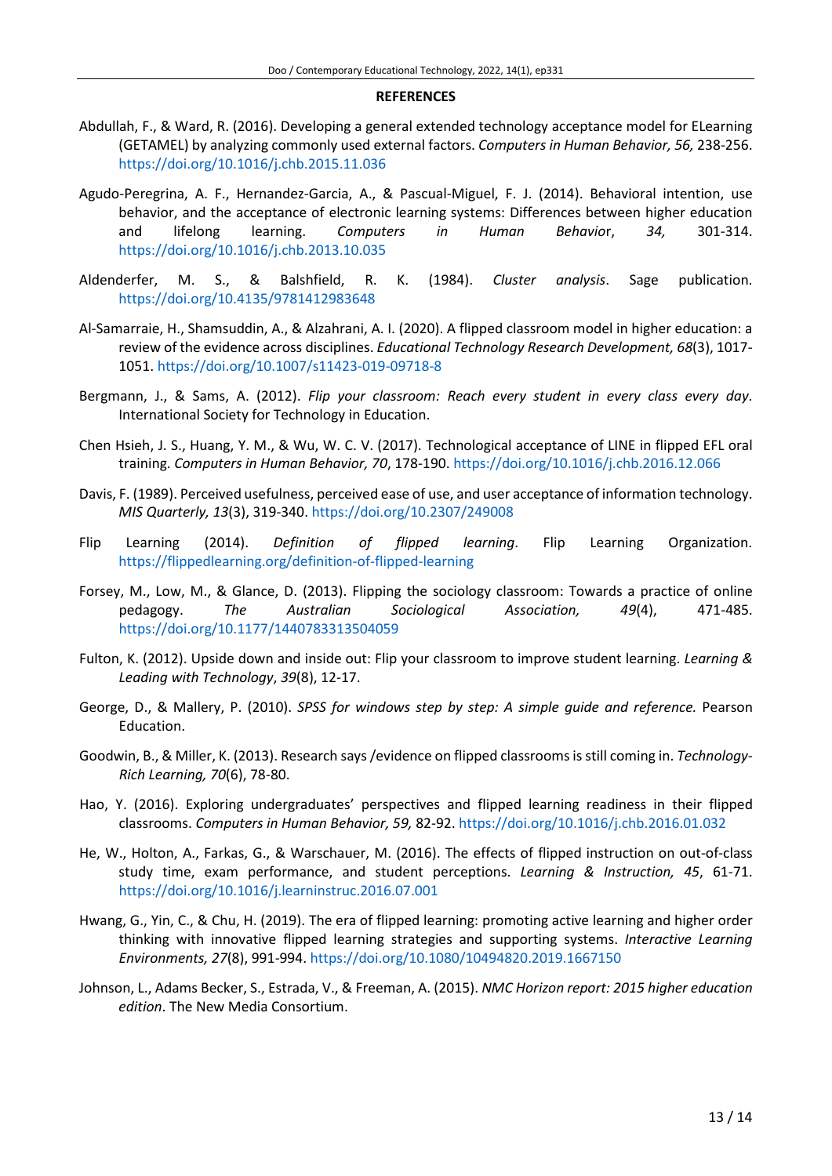#### **REFERENCES**

- Abdullah, F., & Ward, R. (2016). Developing a general extended technology acceptance model for ELearning (GETAMEL) by analyzing commonly used external factors. *Computers in Human Behavior, 56,* 238-256. <https://doi.org/10.1016/j.chb.2015.11.036>
- Agudo-Peregrina, A. F., Hernandez-Garcia, A., & Pascual-Miguel, F. J. (2014). Behavioral intention, use behavior, and the acceptance of electronic learning systems: Differences between higher education and lifelong learning. *Computers in Human Behavio*r, *34,* 301-314. <https://doi.org/10.1016/j.chb.2013.10.035>
- Aldenderfer, M. S., & Balshfield, R. K. (1984). *Cluster analysis*. Sage publication. <https://doi.org/10.4135/9781412983648>
- Al-Samarraie, H., Shamsuddin, A., & Alzahrani, A. I. (2020). A flipped classroom model in higher education: a review of the evidence across disciplines. *Educational Technology Research Development, 68*(3), 1017- 1051. <https://doi.org/10.1007/s11423-019-09718-8>
- Bergmann, J., & Sams, A. (2012). *Flip your classroom: Reach every student in every class every day*. International Society for Technology in Education.
- Chen Hsieh, J. S., Huang, Y. M., & Wu, W. C. V. (2017). Technological acceptance of LINE in flipped EFL oral training. *Computers in Human Behavior, 70*, 178-190. <https://doi.org/10.1016/j.chb.2016.12.066>
- Davis, F. (1989). Perceived usefulness, perceived ease of use, and user acceptance of information technology. *MIS Quarterly, 13*(3), 319-340. <https://doi.org/10.2307/249008>
- Flip Learning (2014). *Definition of flipped learning*. Flip Learning Organization. <https://flippedlearning.org/definition-of-flipped-learning>
- Forsey, M., Low, M., & Glance, D. (2013). Flipping the sociology classroom: Towards a practice of online pedagogy. *The Australian Sociological Association, 49*(4), 471-485. <https://doi.org/10.1177/1440783313504059>
- Fulton, K. (2012). Upside down and inside out: Flip your classroom to improve student learning. *Learning & Leading with Technology*, *39*(8), 12-17.
- George, D., & Mallery, P. (2010). *SPSS for windows step by step: A simple guide and reference.* Pearson Education.
- Goodwin, B., & Miller, K. (2013). Research says/evidence on flipped classroomsis still coming in. *Technology-Rich Learning, 70*(6), 78-80.
- Hao, Y. (2016). Exploring undergraduates' perspectives and flipped learning readiness in their flipped classrooms. *Computers in Human Behavior, 59,* 82-92. <https://doi.org/10.1016/j.chb.2016.01.032>
- He, W., Holton, A., Farkas, G., & Warschauer, M. (2016). The effects of flipped instruction on out-of-class study time, exam performance, and student perceptions. *Learning & Instruction, 45*, 61-71. <https://doi.org/10.1016/j.learninstruc.2016.07.001>
- Hwang, G., Yin, C., & Chu, H. (2019). The era of flipped learning: promoting active learning and higher order thinking with innovative flipped learning strategies and supporting systems. *Interactive Learning Environments, 27*(8), 991-994. <https://doi.org/10.1080/10494820.2019.1667150>
- Johnson, L., Adams Becker, S., Estrada, V., & Freeman, A. (2015). *NMC Horizon report: 2015 higher education edition*. The New Media Consortium.